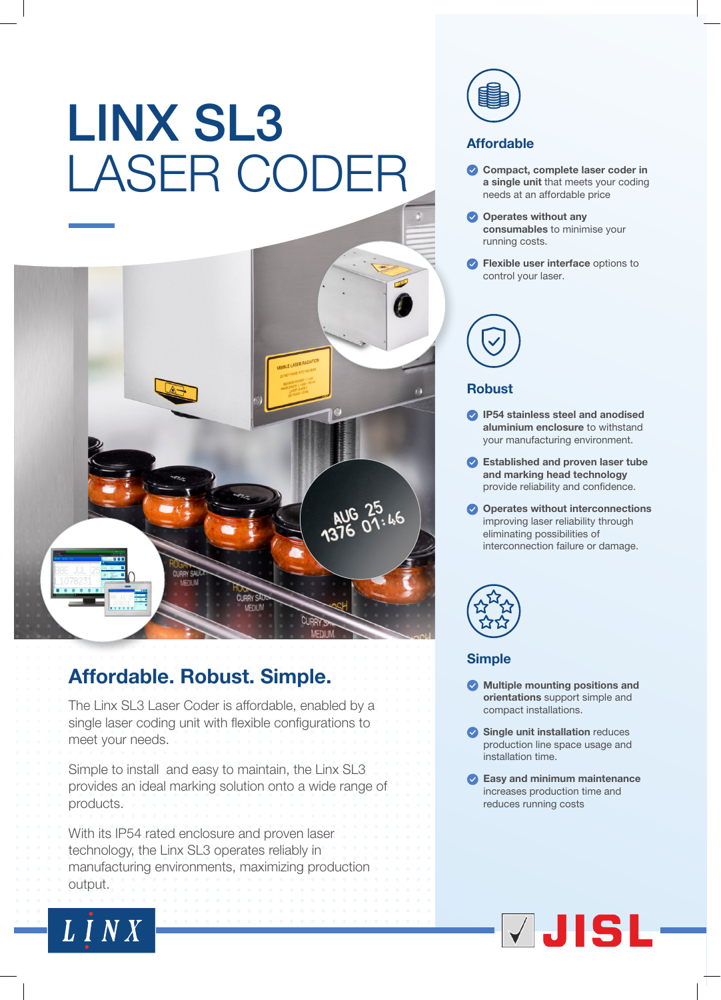# LINX SL3 LASER CODER



## Affordable. Robust. Simple.

The Linx SL3 Laser Coder is affordable, enabled by a single laser coding unit with flexible configurations to meet your needs.

Simple to install and easy to maintain, the Linx SL3 provides an ideal marking solution onto a wide range of products.

With its IP54 rated enclosure and proven laser technology, the Linx SL3 operates reliably in manufacturing environments, maximizing production output.

LINX



## Affordable

- Compact, complete laser coder in a single unit that meets your coding needs at an affordable price
- Operates without any consumables to minimise your running costs.
- **P** Flexible user interface options to control your laser.



### **Robust**

- **IP54 stainless steel and anodised** aluminium enclosure to withstand your manufacturing environment.
- Established and proven laser tube and marking head technology provide reliability and confidence.
- Operates without interconnections improving laser reliability through eliminating possibilities of interconnection failure or damage.



## Simple

- **Multiple mounting positions and** orientations support simple and compact installations.
- Single unit installation reduces production line space usage and installation time.
- **Easy and minimum maintenance** increases production time and reduces running costs

# VJISL